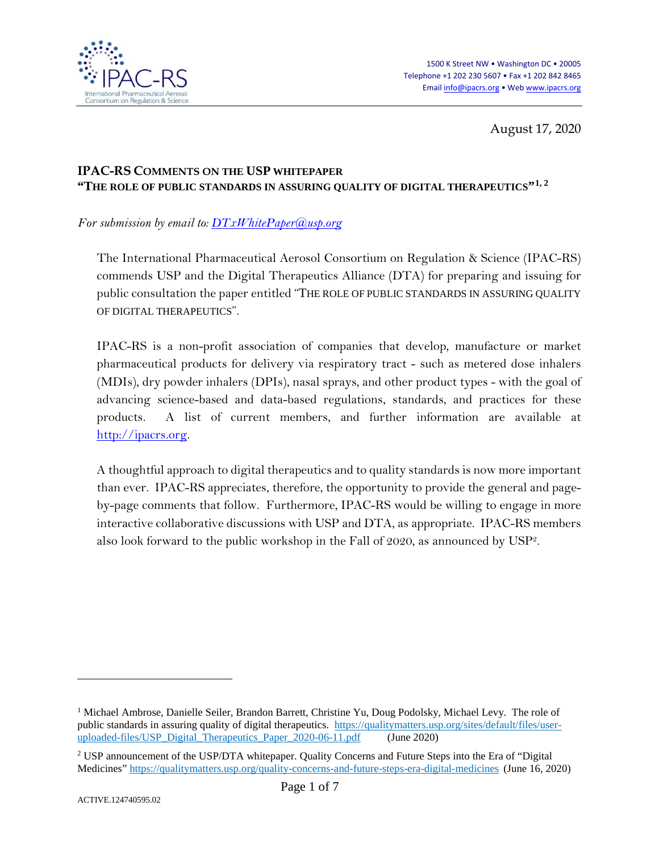

<span id="page-0-0"></span>August 17, 2020

# **IPAC-RS COMMENTS ON THE USP WHITEPAPER "THE ROLE OF PUBLIC STANDARDS IN ASSURING QUALITY OF DIGITAL THERAPEUTICS"[1](#page-0-1), [2](#page-0-2)**

*For submission by email to: [DTxWhitePaper@usp.org](mailto:DTxWhitePaper@usp.org)*

The International Pharmaceutical Aerosol Consortium on Regulation & Science (IPAC-RS) commends USP and the Digital Therapeutics Alliance (DTA) for preparing and issuing for public consultation the paper entitled "THE ROLE OF PUBLIC STANDARDS IN ASSURING QUALITY OF DIGITAL THERAPEUTICS".

IPAC-RS is a non-profit association of companies that develop, manufacture or market pharmaceutical products for delivery via respiratory tract - such as metered dose inhalers (MDIs), dry powder inhalers (DPIs), nasal sprays, and other product types - with the goal of advancing science-based and data-based regulations, standards, and practices for these products. A list of current members, and further information are available at [http://ipacrs.org.](http://ipacrs.org/)

A thoughtful approach to digital therapeutics and to quality standards is now more important than ever. IPAC-RS appreciates, therefore, the opportunity to provide the general and pageby-page comments that follow. Furthermore, IPAC-RS would be willing to engage in more interactive collaborative discussions with USP and DTA, as appropriate. IPAC-RS members also look forward to the public workshop in the Fall of 2020, as announced by US[P2.](#page-0-0)

 $\overline{a}$ 

<span id="page-0-1"></span><sup>&</sup>lt;sup>1</sup> Michael Ambrose, Danielle Seiler, Brandon Barrett, Christine Yu, Doug Podolsky, Michael Levy. The role of public standards in assuring quality of digital therapeutics. [https://qualitymatters.usp.org/sites/default/files/user](https://qualitymatters.usp.org/sites/default/files/user-uploaded-files/USP_Digital_Therapeutics_Paper_2020-06-11.pdf)[uploaded-files/USP\\_Digital\\_Therapeutics\\_Paper\\_2020-06-11.pdf](https://qualitymatters.usp.org/sites/default/files/user-uploaded-files/USP_Digital_Therapeutics_Paper_2020-06-11.pdf) (June 2020)

<span id="page-0-2"></span><sup>2</sup> USP announcement of the USP/DTA whitepaper. Quality Concerns and Future Steps into the Era of "Digital Medicines"<https://qualitymatters.usp.org/quality-concerns-and-future-steps-era-digital-medicines> (June 16, 2020)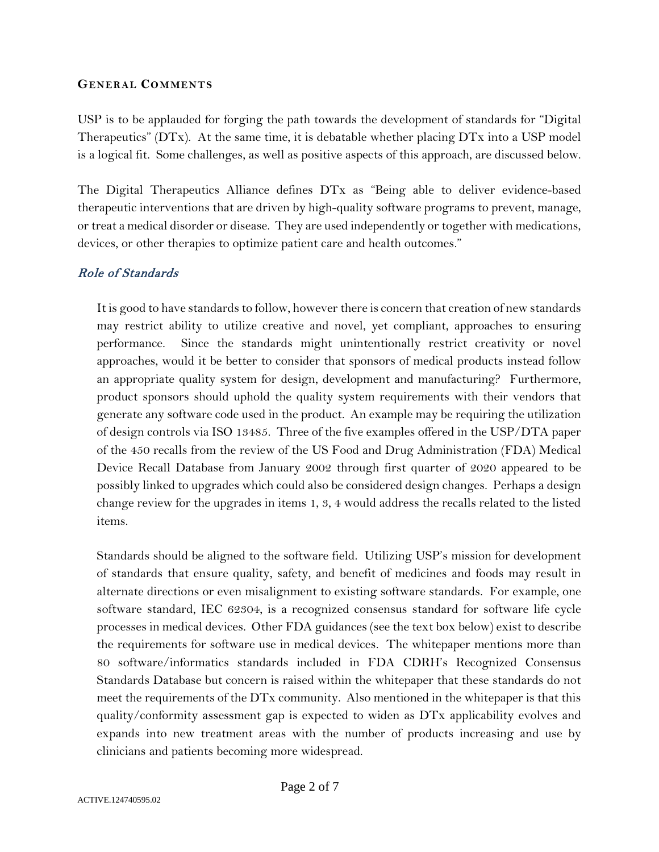#### **GENERAL COMMENTS**

USP is to be applauded for forging the path towards the development of standards for "Digital Therapeutics" (DTx). At the same time, it is debatable whether placing DTx into a USP model is a logical fit. Some challenges, as well as positive aspects of this approach, are discussed below.

The Digital Therapeutics Alliance defines DTx as "Being able to deliver evidence-based therapeutic interventions that are driven by high-quality software programs to prevent, manage, or treat a medical disorder or disease. They are used independently or together with medications, devices, or other therapies to optimize patient care and health outcomes."

# Role of Standards

It is good to have standards to follow, however there is concern that creation of new standards may restrict ability to utilize creative and novel, yet compliant, approaches to ensuring performance. Since the standards might unintentionally restrict creativity or novel approaches, would it be better to consider that sponsors of medical products instead follow an appropriate quality system for design, development and manufacturing? Furthermore, product sponsors should uphold the quality system requirements with their vendors that generate any software code used in the product. An example may be requiring the utilization of design controls via ISO 13485. Three of the five examples offered in the USP/DTA paper of the 450 recalls from the review of the US Food and Drug Administration (FDA) Medical Device Recall Database from January 2002 through first quarter of 2020 appeared to be possibly linked to upgrades which could also be considered design changes. Perhaps a design change review for the upgrades in items 1, 3, 4 would address the recalls related to the listed items.

Standards should be aligned to the software field. Utilizing USP's mission for development of standards that ensure quality, safety, and benefit of medicines and foods may result in alternate directions or even misalignment to existing software standards. For example, one software standard, IEC 62304, is a recognized consensus standard for software life cycle processes in medical devices. Other FDA guidances (see the text box below) exist to describe the requirements for software use in medical devices. The whitepaper mentions more than 80 software/informatics standards included in FDA CDRH's Recognized Consensus Standards Database but concern is raised within the whitepaper that these standards do not meet the requirements of the DTx community. Also mentioned in the whitepaper is that this quality/conformity assessment gap is expected to widen as DTx applicability evolves and expands into new treatment areas with the number of products increasing and use by clinicians and patients becoming more widespread.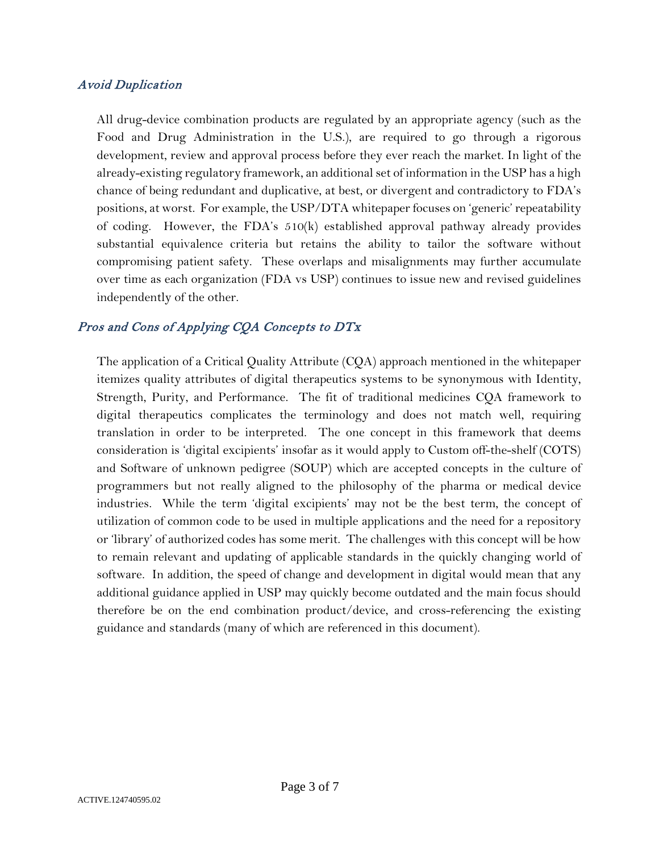### Avoid Duplication

All drug-device combination products are regulated by an appropriate agency (such as the Food and Drug Administration in the U.S.), are required to go through a rigorous development, review and approval process before they ever reach the market. In light of the already-existing regulatory framework, an additional set of information in the USP has a high chance of being redundant and duplicative, at best, or divergent and contradictory to FDA's positions, at worst. For example, the USP/DTA whitepaper focuses on 'generic' repeatability of coding. However, the FDA's 510(k) established approval pathway already provides substantial equivalence criteria but retains the ability to tailor the software without compromising patient safety. These overlaps and misalignments may further accumulate over time as each organization (FDA vs USP) continues to issue new and revised guidelines independently of the other.

## Pros and Cons of Applying CQA Concepts to DTx

The application of a Critical Quality Attribute (CQA) approach mentioned in the whitepaper itemizes quality attributes of digital therapeutics systems to be synonymous with Identity, Strength, Purity, and Performance. The fit of traditional medicines CQA framework to digital therapeutics complicates the terminology and does not match well, requiring translation in order to be interpreted. The one concept in this framework that deems consideration is 'digital excipients' insofar as it would apply to Custom off-the-shelf (COTS) and Software of unknown pedigree (SOUP) which are accepted concepts in the culture of programmers but not really aligned to the philosophy of the pharma or medical device industries. While the term 'digital excipients' may not be the best term, the concept of utilization of common code to be used in multiple applications and the need for a repository or 'library' of authorized codes has some merit. The challenges with this concept will be how to remain relevant and updating of applicable standards in the quickly changing world of software. In addition, the speed of change and development in digital would mean that any additional guidance applied in USP may quickly become outdated and the main focus should therefore be on the end combination product/device, and cross-referencing the existing guidance and standards (many of which are referenced in this document).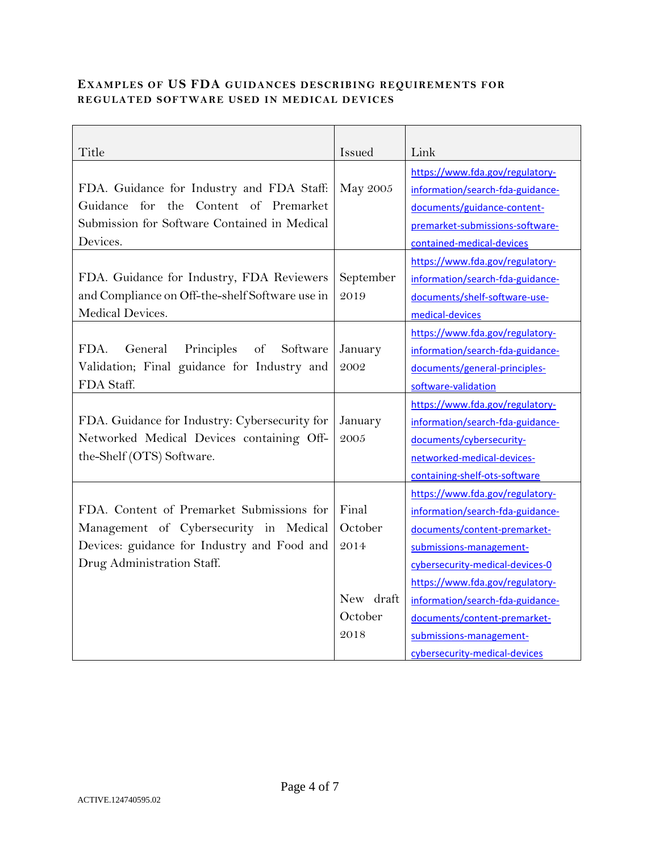## **EXAMPLES OF US FDA GUIDANCES DESCRIBING REQUIREMENTS FOR REGULATED SOFTWARE USED IN MEDICAL DEVICES**

| Title                                           | Issued    | Link                             |
|-------------------------------------------------|-----------|----------------------------------|
|                                                 |           | https://www.fda.gov/regulatory-  |
| FDA. Guidance for Industry and FDA Staff:       | May 2005  | information/search-fda-guidance- |
| Guidance for the Content of Premarket           |           | documents/guidance-content-      |
| Submission for Software Contained in Medical    |           | premarket-submissions-software-  |
| Devices.                                        |           | contained-medical-devices        |
|                                                 |           | https://www.fda.gov/regulatory-  |
| FDA. Guidance for Industry, FDA Reviewers       | September | information/search-fda-guidance- |
| and Compliance on Off-the-shelf Software use in | 2019      | documents/shelf-software-use-    |
| Medical Devices.                                |           | medical-devices                  |
|                                                 |           | https://www.fda.gov/regulatory-  |
| Principles<br>FDA.<br>General<br>of<br>Software | January   | information/search-fda-guidance- |
| Validation; Final guidance for Industry and     | 2002      | documents/general-principles-    |
| FDA Staff.                                      |           | software-validation              |
|                                                 |           | https://www.fda.gov/regulatory-  |
| FDA. Guidance for Industry: Cybersecurity for   | January   | information/search-fda-guidance- |
| Networked Medical Devices containing Off-       | 2005      | documents/cybersecurity-         |
| the-Shelf (OTS) Software.                       |           | networked-medical-devices-       |
|                                                 |           | containing-shelf-ots-software    |
|                                                 |           | https://www.fda.gov/regulatory-  |
| FDA. Content of Premarket Submissions for       | Final     | information/search-fda-guidance- |
| Management of Cybersecurity in Medical          | October   | documents/content-premarket-     |
| Devices: guidance for Industry and Food and     | 2014      | submissions-management-          |
| Drug Administration Staff.                      |           | cybersecurity-medical-devices-0  |
|                                                 |           | https://www.fda.gov/regulatory-  |
|                                                 | New draft | information/search-fda-guidance- |
|                                                 | October   | documents/content-premarket-     |
|                                                 | 2018      | submissions-management-          |
|                                                 |           | cybersecurity-medical-devices    |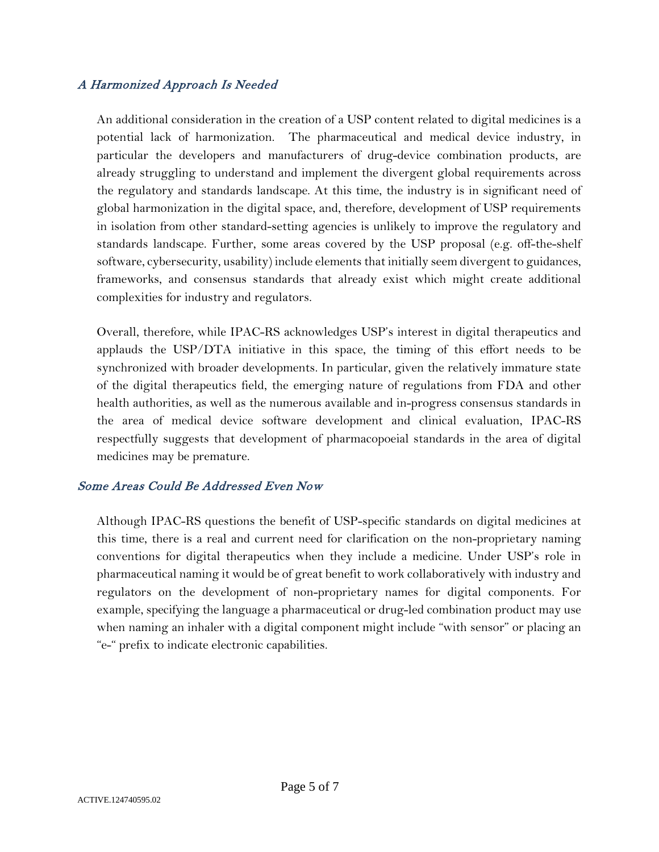# A Harmonized Approach Is Needed

An additional consideration in the creation of a USP content related to digital medicines is a potential lack of harmonization. The pharmaceutical and medical device industry, in particular the developers and manufacturers of drug-device combination products, are already struggling to understand and implement the divergent global requirements across the regulatory and standards landscape. At this time, the industry is in significant need of global harmonization in the digital space, and, therefore, development of USP requirements in isolation from other standard-setting agencies is unlikely to improve the regulatory and standards landscape. Further, some areas covered by the USP proposal (e.g. off-the-shelf software, cybersecurity, usability) include elements that initially seem divergent to guidances, frameworks, and consensus standards that already exist which might create additional complexities for industry and regulators.

Overall, therefore, while IPAC-RS acknowledges USP's interest in digital therapeutics and applauds the USP/DTA initiative in this space, the timing of this effort needs to be synchronized with broader developments. In particular, given the relatively immature state of the digital therapeutics field, the emerging nature of regulations from FDA and other health authorities, as well as the numerous available and in-progress consensus standards in the area of medical device software development and clinical evaluation, IPAC-RS respectfully suggests that development of pharmacopoeial standards in the area of digital medicines may be premature.

## Some Areas Could Be Addressed Even Now

Although IPAC-RS questions the benefit of USP-specific standards on digital medicines at this time, there is a real and current need for clarification on the non-proprietary naming conventions for digital therapeutics when they include a medicine. Under USP's role in pharmaceutical naming it would be of great benefit to work collaboratively with industry and regulators on the development of non-proprietary names for digital components. For example, specifying the language a pharmaceutical or drug-led combination product may use when naming an inhaler with a digital component might include "with sensor" or placing an "e-" prefix to indicate electronic capabilities.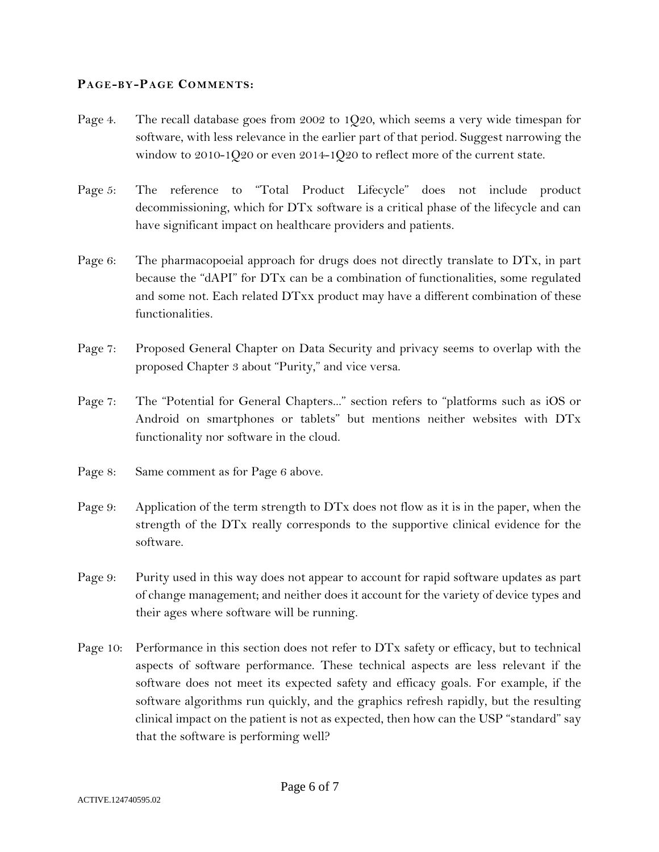#### **PAGE-BY-PAGE COMMENTS:**

- Page 4. The recall database goes from 2002 to 1020, which seems a very wide timespan for software, with less relevance in the earlier part of that period. Suggest narrowing the window to 2010-1Q20 or even 2014-1Q20 to reflect more of the current state.
- Page 5: The reference to "Total Product Lifecycle" does not include product decommissioning, which for DTx software is a critical phase of the lifecycle and can have significant impact on healthcare providers and patients.
- Page 6: The pharmacopoeial approach for drugs does not directly translate to DT<sub>x</sub>, in part because the "dAPI" for DTx can be a combination of functionalities, some regulated and some not. Each related DTxx product may have a different combination of these functionalities.
- Page 7: Proposed General Chapter on Data Security and privacy seems to overlap with the proposed Chapter 3 about "Purity," and vice versa.
- Page 7: The "Potential for General Chapters..." section refers to "platforms such as iOS or Android on smartphones or tablets" but mentions neither websites with DTx functionality nor software in the cloud.
- Page 8: Same comment as for Page 6 above.
- Page 9: Application of the term strength to DTx does not flow as it is in the paper, when the strength of the DTx really corresponds to the supportive clinical evidence for the software.
- Page 9: Purity used in this way does not appear to account for rapid software updates as part of change management; and neither does it account for the variety of device types and their ages where software will be running.
- Page 10: Performance in this section does not refer to DTx safety or efficacy, but to technical aspects of software performance. These technical aspects are less relevant if the software does not meet its expected safety and efficacy goals. For example, if the software algorithms run quickly, and the graphics refresh rapidly, but the resulting clinical impact on the patient is not as expected, then how can the USP "standard" say that the software is performing well?